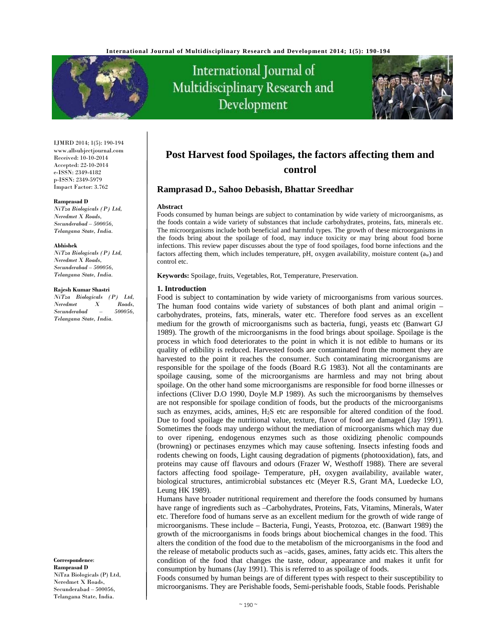

# International Journal of Multidisciplinary Research and Development



IJMRD 2014; 1(5): 190-194 www.allsubjectjournal.com Received: 10-10-2014 Accepted: 22-10-2014 e-ISSN: 2349-4182 p-ISSN: 2349-5979 Impact Factor: 3.762

#### **Ramprasad D**

*NiTza Biologicals (P) Ltd, Neredmet X Roads, Secunderabad – 500056, Telangana State, India.* 

#### **Abhishek**

*NiTza Biologicals (P) Ltd, Neredmet X Roads, Secunderabad – 500056, Telangana State, India.* 

#### **Rajesh Kumar Shastri**

*NiTza Biologicals (P) Ltd, Neredmet X Roads, Secunderabad – 500056, Telangana State, India.* 

**Correspondence**: **Ramprasad D**  NiTza Biologicals (P) Ltd, Neredmet X Roads,

Secunderabad – 500056, Telangana State, India.

# **Post Harvest food Spoilages, the factors affecting them and control**

# **Ramprasad D., Sahoo Debasish, Bhattar Sreedhar**

#### **Abstract**

Foods consumed by human beings are subject to contamination by wide variety of microorganisms, as the foods contain a wide variety of substances that include carbohydrates, proteins, fats, minerals etc. The microorganisms include both beneficial and harmful types. The growth of these microorganisms in the foods bring about the spoilage of food, may induce toxicity or may bring about food borne infections. This review paper discusses about the type of food spoilages, food borne infections and the factors affecting them, which includes temperature, pH, oxygen availability, moisture content (aw) and control etc.

**Keywords:** Spoilage, fruits, Vegetables, Rot, Temperature, Preservation.

#### **1. Introduction**

Food is subject to contamination by wide variety of microorganisms from various sources. The human food contains wide variety of substances of both plant and animal origin – carbohydrates, proteins, fats, minerals, water etc. Therefore food serves as an excellent medium for the growth of microorganisms such as bacteria, fungi, yeasts etc (Banwart GJ 1989). The growth of the microorganisms in the food brings about spoilage. Spoilage is the process in which food deteriorates to the point in which it is not edible to humans or its quality of edibility is reduced. Harvested foods are contaminated from the moment they are harvested to the point it reaches the consumer. Such contaminating microorganisms are responsible for the spoilage of the foods (Board R.G 1983). Not all the contaminants are spoilage causing, some of the microorganisms are harmless and may not bring about spoilage. On the other hand some microorganisms are responsible for food borne illnesses or infections (Cliver D.O 1990, Doyle M.P 1989). As such the microorganisms by themselves are not responsible for spoilage condition of foods, but the products of the microorganisms such as enzymes, acids, amines,  $H_2S$  etc are responsible for altered condition of the food. Due to food spoilage the nutritional value, texture, flavor of food are damaged (Jay 1991). Sometimes the foods may undergo without the mediation of microorganisms which may due to over ripening, endogenous enzymes such as those oxidizing phenolic compounds (browning) or pectinases enzymes which may cause softening. Insects infesting foods and rodents chewing on foods, Light causing degradation of pigments (photooxidation), fats, and proteins may cause off flavours and odours (Frazer W, Westhoff 1988). There are several factors affecting food spoilage- Temperature, pH, oxygen availability, available water, biological structures, antimicrobial substances etc (Meyer R.S, Grant MA, Luedecke LO, Leung HK 1989).

Humans have broader nutritional requirement and therefore the foods consumed by humans have range of ingredients such as –Carbohydrates, Proteins, Fats, Vitamins, Minerals, Water etc. Therefore food of humans serve as an excellent medium for the growth of wide range of microorganisms. These include – Bacteria, Fungi, Yeasts, Protozoa, etc. (Banwart 1989) the growth of the microorganisms in foods brings about biochemical changes in the food. This alters the condition of the food due to the metabolism of the microorganisms in the food and the release of metabolic products such as –acids, gases, amines, fatty acids etc. This alters the condition of the food that changes the taste, odour, appearance and makes it unfit for consumption by humans (Jay 1991). This is referred to as spoilage of foods.

Foods consumed by human beings are of different types with respect to their susceptibility to microorganisms. They are Perishable foods, Semi-perishable foods, Stable foods. Perishable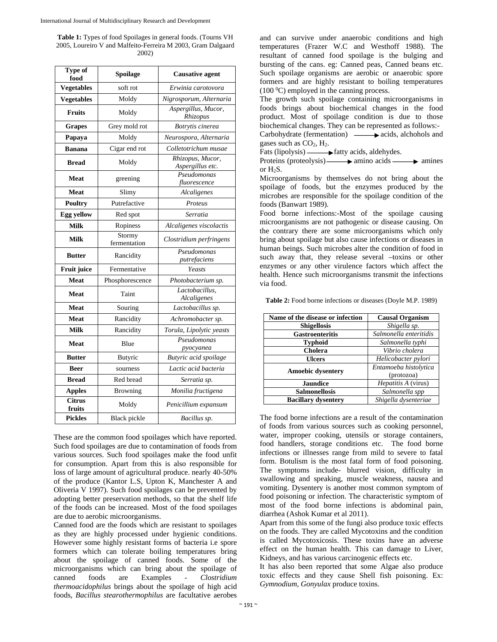**Table 1:** Types of food Spoilages in general foods. (Tourns VH 2005, Loureiro V and Malfeito-Ferreira M 2003, Gram Dalgaard 2002)

| <b>Type of</b><br>food  | Spoilage                                 | <b>Causative agent</b>               |  |
|-------------------------|------------------------------------------|--------------------------------------|--|
| <b>Vegetables</b>       | soft rot                                 | Erwinia carotovora                   |  |
| <b>Vegetables</b>       | Moldy                                    | Nigrosporum, Alternaria              |  |
| <b>Fruits</b>           | Moldy                                    | Aspergillus, Mucor,<br>Rhizopus      |  |
| <b>Grapes</b>           | Grey mold rot                            | Botrytis cinerea                     |  |
| Papaya                  | Moldy<br>Neurospora, Alternaria          |                                      |  |
| <b>Banana</b>           | Cigar end rot<br>Colletotrichum musae    |                                      |  |
| <b>Bread</b>            | Moldy                                    | Rhizopus, Mucor,<br>Aspergillus etc. |  |
| <b>Meat</b>             | greening                                 | Pseudomonas<br>fluorescence          |  |
| <b>Meat</b>             | Slimy                                    | Alcaligenes                          |  |
| <b>Poultry</b>          | Putrefactive                             | Proteus                              |  |
| <b>Egg yellow</b>       | Red spot                                 | Serratia                             |  |
| Milk                    | Ropiness                                 | Alcaligenes viscolactis              |  |
| <b>Milk</b>             | Stormy<br>fermentation                   | Clostridium perfringens              |  |
| <b>Butter</b>           | Pseudomonas<br>Rancidity<br>putrefaciens |                                      |  |
| <b>Fruit juice</b>      | Fermentative                             | Yeasts                               |  |
| <b>Meat</b>             | Phosphorescence                          | Photobacterium sp.                   |  |
| <b>Meat</b>             | Taint                                    | Lactobacillus,<br>Alcaligenes        |  |
| <b>Meat</b>             | Souring                                  | Lactobacillus sp.                    |  |
| <b>Meat</b>             | Rancidity<br>Achromobacter sp.           |                                      |  |
| <b>Milk</b>             | Rancidity                                | Torula, Lipolytic yeasts             |  |
| <b>Meat</b>             | Pseudomonas<br>Blue<br>pyocyanea         |                                      |  |
| <b>Butter</b>           | <b>Butyric</b>                           | Butyric acid spoilage                |  |
| <b>Beer</b>             | sourness                                 | Lactic acid bacteria                 |  |
| <b>Bread</b>            | Red bread                                | Serratia sp.                         |  |
| <b>Apples</b>           | <b>Browning</b>                          | Monilia fructigena                   |  |
| <b>Citrus</b><br>fruits | Moldy                                    | Penicillium expansum                 |  |
| <b>Pickles</b>          | <b>Black</b> pickle                      | Bacillus sp.                         |  |

These are the common food spoilages which have reported. Such food spoilages are due to contamination of foods from various sources. Such food spoilages make the food unfit for consumption. Apart from this is also responsible for loss of large amount of agricultural produce. nearly 40-50% of the produce (Kantor L.S, Upton K, Manchester A and Oliveria V 1997). Such food spoilages can be prevented by adopting better preservation methods, so that the shelf life of the foods can be increased. Most of the food spoilages are due to aerobic microorganisms.

Canned food are the foods which are resistant to spoilages as they are highly processed under hygienic conditions. However some highly resistant forms of bacteria i.e spore formers which can tolerate boiling temperatures bring about the spoilage of canned foods. Some of the microorganisms which can bring about the spoilage of canned foods are Examples - *Clostridium thermoacidophilus* brings about the spoilage of high acid foods, *Bacillus stearothermophilus* are facultative aerobes

and can survive under anaerobic conditions and high temperatures (Frazer W.C and Westhoff 1988). The resultant of canned food spoilage is the bulging and bursting of the cans. eg: Canned peas, Canned beans etc. Such spoilage organisms are aerobic or anaerobic spore formers and are highly resistant to boiling temperatures  $(100\,^0C)$  employed in the canning process.

The growth such spoilage containing microorganisms in foods brings about biochemical changes in the food product. Most of spoilage condition is due to those biochemical changes. They can be represented as follows:-

Carbohydrate (fermentation)  $\longrightarrow$  acids, alchohols and gases such as  $CO<sub>2</sub>$ ,  $H<sub>2</sub>$ .

Fats (lipolysis)  $\longrightarrow$  fatty acids, aldehydes.

Proteins (proteolysis)  $\longrightarrow$  amino acids  $\longrightarrow$  amines or H<sub>2</sub>S.

Microorganisms by themselves do not bring about the spoilage of foods, but the enzymes produced by the microbes are responsible for the spoilage condition of the foods (Banwart 1989).

Food borne infections:-Most of the spoilage causing microorganisms are not pathogenic or disease causing. On the contrary there are some microorganisms which only bring about spoilage but also cause infections or diseases in human beings. Such microbes alter the condition of food in such away that, they release several –toxins or other enzymes or any other virulence factors which affect the health. Hence such microorganisms transmit the infections via food.

**Table 2:** Food borne infections or diseases (Doyle M.P. 1989)

| Name of the disease or infection | <b>Causal Organism</b> |  |  |
|----------------------------------|------------------------|--|--|
| <b>Shigellosis</b>               | Shigella sp.           |  |  |
| <b>Gastroenteritis</b>           | Salmonella enteritidis |  |  |
| <b>Typhoid</b>                   | Salmonella typhi       |  |  |
| Cholera                          | Vibrio cholera         |  |  |
| <b>Ulcers</b>                    | Helicobacter pylori    |  |  |
| <b>Amoebic dysentery</b>         | Entamoeba histolytica  |  |  |
|                                  | (protozoa)             |  |  |
| <b>Jaundice</b>                  | Hepatitis A (virus)    |  |  |
| <b>Salmonellosis</b>             | Salmonella spp         |  |  |
| <b>Bacillary dysentery</b>       | Shigella dysenteriae   |  |  |

The food borne infections are a result of the contamination of foods from various sources such as cooking personnel, water, improper cooking, utensils or storage containers, food handlers, storage conditions etc. The food borne infections or illnesses range from mild to severe to fatal form. Botulism is the most fatal form of food poisoning. The symptoms include- blurred vision, difficulty in swallowing and speaking, muscle weakness, nausea and vomiting. Dysentery is another most common symptom of food poisoning or infection. The characteristic symptom of most of the food borne infections is abdominal pain, diarrhea (Ashok Kumar et al 2011).

Apart from this some of the fungi also produce toxic effects on the foods. They are called Mycotoxins and the condition is called Mycotoxicosis. These toxins have an adverse effect on the human health. This can damage to Liver, Kidneys, and has various carcinogenic effects etc.

It has also been reported that some Algae also produce toxic effects and they cause Shell fish poisoning. Ex: *Gymnodium, Gonyulax* produce toxins.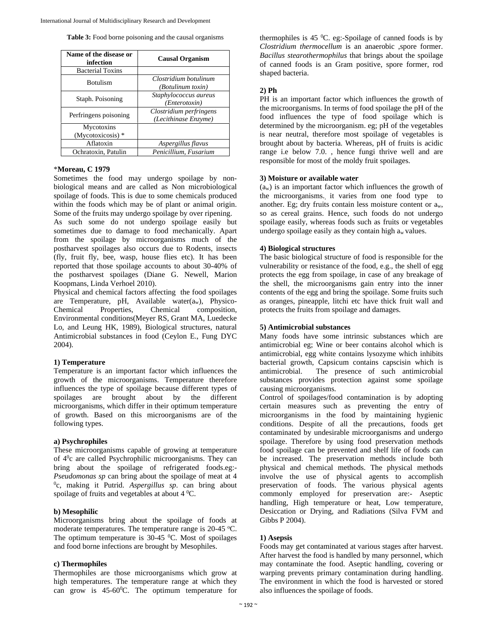|  |  |  | Table 3: Food borne poisoning and the causal organisms |
|--|--|--|--------------------------------------------------------|
|  |  |  |                                                        |

| Name of the disease or<br>infection | <b>Causal Organism</b>                            |  |  |
|-------------------------------------|---------------------------------------------------|--|--|
| <b>Bacterial Toxins</b>             |                                                   |  |  |
| <b>Botulism</b>                     | Clostridium botulinum<br><i>(Botulinum toxin)</i> |  |  |
| Staph. Poisoning                    | Staphylococcus aureus<br>(Enterotoxin)            |  |  |
| Perfringens poisoning               | Clostridium perfringens<br>(Lecithinase Enzyme)   |  |  |
| Mycotoxins<br>(Mycotoxicosis) *     |                                                   |  |  |
| Aflatoxin                           | Aspergillus flavus                                |  |  |
| Ochratoxin. Patulin                 | Penicillium, Fusarium                             |  |  |

# \***Moreau, C 1979**

Sometimes the food may undergo spoilage by nonbiological means and are called as Non microbiological spoilage of foods. This is due to some chemicals produced within the foods which may be of plant or animal origin. Some of the fruits may undergo spoilage by over ripening.

As such some do not undergo spoilage easily but sometimes due to damage to food mechanically. Apart from the spoilage by microorganisms much of the postharvest spoilages also occurs due to Rodents, insects (fly, fruit fly, bee, wasp, house flies etc). It has been reported that those spoilage accounts to about 30-40% of the postharvest spoilages (Diane G. Newell, Marion Koopmans, Linda Verhoel 2010).

Physical and chemical factors affecting the food spoilages are Temperature, pH, Available water $(a_w)$ , Physico-Chemical Properties, Chemical composition, Environmental conditions(Meyer RS, Grant MA, Luedecke Lo, and Leung HK, 1989), Biological structures, natural Antimicrobial substances in food (Ceylon E., Fung DYC 2004).

#### **1) Temperature**

Temperature is an important factor which influences the growth of the microorganisms. Temperature therefore influences the type of spoilage because different types of spoilages are brought about by the different microorganisms, which differ in their optimum temperature of growth. Based on this microorganisms are of the following types.

# **a) Psychrophiles**

These microorganisms capable of growing at temperature of  $4^0$ c are called Psychrophilic microorganisms. They can bring about the spoilage of refrigerated foods.eg:- *Pseudomonas sp* can bring about the spoilage of meat at 4 <sup>0</sup>c, making it Putrid. *Aspergillus sp.* can bring about spoilage of fruits and vegetables at about  $4^{\circ}$ C.

#### **b) Mesophilic**

Microorganisms bring about the spoilage of foods at moderate temperatures. The temperature range is  $20-45$  °C. The optimum temperature is  $30-45$  °C. Most of spoilages and food borne infections are brought by Mesophiles.

#### **c) Thermophiles**

Thermophiles are those microorganisms which grow at high temperatures. The temperature range at which they can grow is  $45{\text -}60^{\circ}$ C. The optimum temperature for

thermophiles is  $45 \text{ °C}$ . eg:-Spoilage of canned foods is by *Clostridium thermocellum* is an anaerobic ,spore former. *Bacillus stearothermophilus* that brings about the spoilage of canned foods is an Gram positive, spore former, rod shaped bacteria.

#### **2) Ph**

PH is an important factor which influences the growth of the microorganisms. In terms of food spoilage the pH of the food influences the type of food spoilage which is determined by the microorganism. eg; pH of the vegetables is near neutral, therefore most spoilage of vegetables is brought about by bacteria. Whereas, pH of fruits is acidic range i.e below 7.0. , hence fungi thrive well and are responsible for most of the moldy fruit spoilages.

# **3) Moisture or available water**

(aw) is an important factor which influences the growth of the microorganisms., it varies from one food type to another. Eg; dry fruits contain less moisture content or aw, so as cereal grains. Hence, such foods do not undergo spoilage easily, whereas foods such as fruits or vegetables undergo spoilage easily as they contain high aw values.

#### **4) Biological structures**

The basic biological structure of food is responsible for the vulnerability or resistance of the food, e.g., the shell of egg protects the egg from spoilage, in case of any breakage of the shell, the microorganisms gain entry into the inner contents of the egg and bring the spoilage. Some fruits such as oranges, pineapple, litchi etc have thick fruit wall and protects the fruits from spoilage and damages.

#### **5) Antimicrobial substances**

Many foods have some intrinsic substances which are antimicrobial eg; Wine or beer contains alcohol which is antimicrobial, egg white contains lysozyme which inhibits bacterial growth, Capsicum contains capscisin which is antimicrobial. The presence of such antimicrobial substances provides protection against some spoilage causing microorganisms.

Control of spoilages/food contamination is by adopting certain measures such as preventing the entry of microorganisms in the food by maintaining hygienic conditions. Despite of all the precautions, foods get contaminated by undesirable microorganisms and undergo spoilage. Therefore by using food preservation methods food spoilage can be prevented and shelf life of foods can be increased. The preservation methods include both physical and chemical methods. The physical methods involve the use of physical agents to accomplish preservation of foods. The various physical agents commonly employed for preservation are:- Aseptic handling, High temperature or heat, Low temperature, Desiccation or Drying, and Radiations (Silva FVM and Gibbs P 2004).

#### **1) Asepsis**

Foods may get contaminated at various stages after harvest. After harvest the food is handled by many personnel, which may contaminate the food. Aseptic handling, covering or warping prevents primary contamination during handling. The environment in which the food is harvested or stored also influences the spoilage of foods.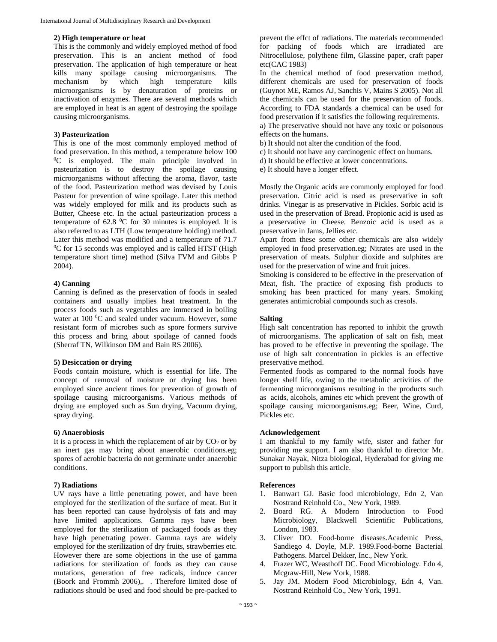#### **2) High temperature or heat**

This is the commonly and widely employed method of food preservation. This is an ancient method of food preservation. The application of high temperature or heat kills many spoilage causing microorganisms. The mechanism by which high temperature kills microorganisms is by denaturation of proteins or inactivation of enzymes. There are several methods which are employed in heat is an agent of destroying the spoilage causing microorganisms.

### **3) Pasteurization**

This is one of the most commonly employed method of food preservation. In this method, a temperature below 100 <sup>0</sup>C is employed. The main principle involved in pasteurization is to destroy the spoilage causing microorganisms without affecting the aroma, flavor, taste of the food. Pasteurization method was devised by Louis Pasteur for prevention of wine spoilage. Later this method was widely employed for milk and its products such as Butter, Cheese etc. In the actual pasteurization process a temperature of  $62.8 \text{ °C}$  for 30 minutes is employed. It is also referred to as LTH (Low temperature holding) method. Later this method was modified and a temperature of 71.7 <sup>0</sup>C for 15 seconds was employed and is called HTST (High temperature short time) method (Silva FVM and Gibbs P 2004).

#### **4) Canning**

Canning is defined as the preservation of foods in sealed containers and usually implies heat treatment. In the process foods such as vegetables are immersed in boiling water at 100 °C and sealed under vacuum. However, some resistant form of microbes such as spore formers survive this process and bring about spoilage of canned foods (Sherraf TN, Wilkinson DM and Bain RS 2006).

# **5) Desiccation or drying**

Foods contain moisture, which is essential for life. The concept of removal of moisture or drying has been employed since ancient times for prevention of growth of spoilage causing microorganisms. Various methods of drying are employed such as Sun drying, Vacuum drying, spray drying.

### **6) Anaerobiosis**

It is a process in which the replacement of air by  $CO<sub>2</sub>$  or by an inert gas may bring about anaerobic conditions.eg; spores of aerobic bacteria do not germinate under anaerobic conditions.

#### **7) Radiations**

UV rays have a little penetrating power, and have been employed for the sterilization of the surface of meat. But it has been reported can cause hydrolysis of fats and may have limited applications. Gamma rays have been employed for the sterilization of packaged foods as they have high penetrating power. Gamma rays are widely employed for the sterilization of dry fruits, strawberries etc. However there are some objections in the use of gamma radiations for sterilization of foods as they can cause mutations, generation of free radicals, induce cancer (Boork and Frommh 2006),. . Therefore limited dose of radiations should be used and food should be pre-packed to

prevent the effct of radiations. The materials recommended for packing of foods which are irradiated are Nitrocellulose, polythene film, Glassine paper, craft paper etc(CAC 1983)

In the chemical method of food preservation method, different chemicals are used for preservation of foods (Guynot ME, Ramos AJ, Sanchis V, Mains S 2005). Not all the chemicals can be used for the preservation of foods. According to FDA standards a chemical can be used for food preservation if it satisfies the following requirements.

a) The preservative should not have any toxic or poisonous effects on the humans.

- b) It should not alter the condition of the food.
- c) It should not have any carcinogenic effect on humans.
- d) It should be effective at lower concentrations.
- e) It should have a longer effect.

Mostly the Organic acids are commonly employed for food preservation. Citric acid is used as preservative in soft drinks. Vinegar is as preservative in Pickles. Sorbic acid is used in the preservation of Bread. Propionic acid is used as a preservative in Cheese. Benzoic acid is used as a preservative in Jams, Jellies etc.

Apart from these some other chemicals are also widely employed in food preservation.eg; Nitrates are used in the preservation of meats. Sulphur dioxide and sulphites are used for the preservation of wine and fruit juices.

Smoking is considered to be effective in the preservation of Meat, fish. The practice of exposing fish products to smoking has been practiced for many years. Smoking generates antimicrobial compounds such as cresols.

#### **Salting**

High salt concentration has reported to inhibit the growth of microorganisms. The application of salt on fish, meat has proved to be effective in preventing the spoilage. The use of high salt concentration in pickles is an effective preservative method.

Fermented foods as compared to the normal foods have longer shelf life, owing to the metabolic activities of the fermenting microorganisms resulting in the products such as acids, alcohols, amines etc which prevent the growth of spoilage causing microorganisms.eg; Beer, Wine, Curd, Pickles etc.

### **Acknowledgement**

I am thankful to my family wife, sister and father for providing me support. I am also thankful to director Mr. Sunakar Nayak, Nitza biological, Hyderabad for giving me support to publish this article.

#### **References**

- 1. Banwart GJ. Basic food microbiology, Edn 2, Van Nostrand Reinhold Co., New York, 1989.
- 2. Board RG. A Modern Introduction to Food Microbiology, Blackwell Scientific Publications, London, 1983.
- 3. Cliver DO. Food-borne diseases.Academic Press, Sandiego 4. Doyle, M.P. 1989.Food-borne Bacterial Pathogens. Marcel Dekker, Inc., New York.
- 4. Frazer WC, Weasthoff DC. Food Microbiology. Edn 4, Mcgraw-Hill, New York, 1988.
- 5. Jay JM. Modern Food Microbiology, Edn 4, Van. Nostrand Reinhold Co., New York, 1991.